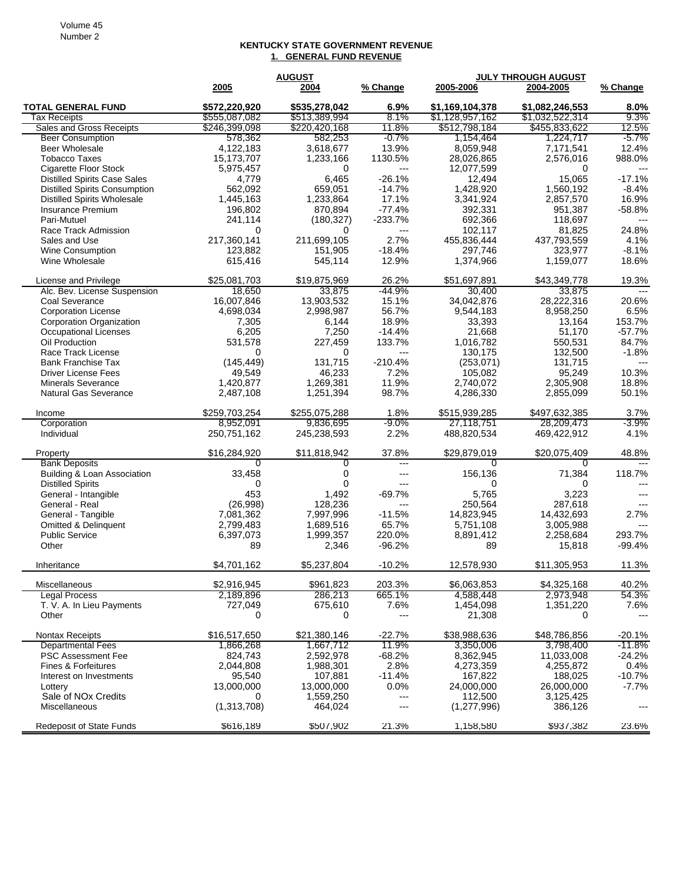## **KENTUCKY STATE GOVERNMENT REVENUE 1. GENERAL FUND REVENUE**

|                                      |               | <b>AUGUST</b> |                      | JULY THROUGH AUGUST |                 |                        |
|--------------------------------------|---------------|---------------|----------------------|---------------------|-----------------|------------------------|
|                                      | 2005          | 2004          | % Change             | 2005-2006           | 2004-2005       | % Change               |
| <b>TOTAL GENERAL FUND</b>            | \$572,220,920 | \$535,278,042 | 6.9%                 | \$1.169.104.378     | \$1,082,246,553 | 8.0%                   |
| Tax Receipts                         | \$555,087,082 | \$513,389,994 | $8.1\%$              | \$1,128,957,162     | \$1,032,522,314 | $9.3\%$                |
| Sales and Gross Receipts             | \$246,399,098 | \$220,420,168 | 11.8%                | \$512,798,184       | \$455,833,622   | 12.5%                  |
| <b>Beer Consumption</b>              | 578,362       | 582,253       | $-0.7\%$             | 1,154,464           | 1,224,717       | $-5.7\%$               |
| <b>Beer Wholesale</b>                | 4,122,183     | 3,618,677     | 13.9%                | 8,059,948           | 7,171,541       | 12.4%                  |
| <b>Tobacco Taxes</b>                 | 15,173,707    | 1,233,166     | 1130.5%              | 28,026,865          | 2,576,016       | 988.0%                 |
| <b>Cigarette Floor Stock</b>         | 5,975,457     | 0             | $---$                | 12,077,599          | 0               | $---$                  |
| <b>Distilled Spirits Case Sales</b>  | 4,779         | 6,465         | $-26.1%$             | 12,494              | 15,065          | $-17.1%$               |
| <b>Distilled Spirits Consumption</b> | 562,092       | 659.051       | $-14.7%$             | 1,428,920           | 1.560.192       | $-8.4%$                |
| <b>Distilled Spirits Wholesale</b>   | 1,445,163     | 1,233,864     | 17.1%                | 3,341,924           | 2,857,570       | 16.9%                  |
| Insurance Premium                    | 196,802       | 870,894       | $-77.4%$             | 392,331             | 951,387         | $-58.8%$               |
| Pari-Mutuel                          | 241,114       | (180, 327)    | $-233.7%$            | 692,366             | 118,697         |                        |
| Race Track Admission                 | 0             | $\Omega$      | $---$                | 102,117             | 81,825          | 24.8%                  |
| Sales and Use                        | 217,360,141   | 211,699,105   | 2.7%                 | 455,836,444         | 437,793,559     | 4.1%                   |
| Wine Consumption                     | 123,882       | 151,905       | $-18.4%$             | 297,746             | 323,977         | $-8.1%$                |
| Wine Wholesale                       | 615,416       | 545,114       | 12.9%                | 1,374,966           | 1,159,077       | 18.6%                  |
| License and Privilege                | \$25,081,703  | \$19,875,969  | 26.2%                | \$51,697,891        | \$43,349,778    | 19.3%                  |
| Alc. Bev. License Suspension         | 18.650        | 33,875        | -44.9%               | 30,400              | 33,875          | $---$                  |
| Coal Severance                       | 16,007,846    | 13,903,532    | 15.1%                | 34,042,876          | 28,222,316      | 20.6%                  |
| <b>Corporation License</b>           | 4,698,034     | 2,998,987     | 56.7%                | 9,544,183           | 8,958,250       | 6.5%                   |
| Corporation Organization             | 7,305         | 6,144         | 18.9%                | 33,393              | 13,164          | 153.7%                 |
| Occupational Licenses                | 6,205         | 7,250         | $-14.4%$             | 21,668              | 51,170          | $-57.7%$               |
| Oil Production                       | 531,578       | 227,459       | 133.7%               | 1,016,782           | 550,531         | 84.7%                  |
| Race Track License                   | 0             | $\Omega$      | $\overline{a}$       | 130,175             | 132,500         | $-1.8%$                |
| <b>Bank Franchise Tax</b>            | (145, 449)    | 131,715       | $-210.4%$            | (253, 071)          | 131,715         | ---                    |
| <b>Driver License Fees</b>           | 49,549        | 46,233        | 7.2%                 | 105,082             | 95,249          | 10.3%                  |
| <b>Minerals Severance</b>            | 1,420,877     | 1,269,381     | 11.9%                | 2,740,072           | 2,305,908       | 18.8%                  |
| Natural Gas Severance                | 2,487,108     | 1,251,394     | 98.7%                | 4,286,330           | 2,855,099       | 50.1%                  |
| Income                               | \$259,703,254 | \$255,075,288 | 1.8%                 | \$515,939,285       | \$497,632,385   | 3.7%                   |
| Corporation                          | 8,952,091     | 9,836,695     | -9.0%                | 27,118,751          | 28,209,473      | -3.9%                  |
| Individual                           | 250,751,162   | 245,238,593   | 2.2%                 | 488,820,534         | 469,422,912     | 4.1%                   |
| Property                             | \$16,284,920  | \$11,818,942  | 37.8%                | \$29,879,019        | \$20,075,409    | 48.8%                  |
| <b>Bank Deposits</b>                 | 0             | 0             | $---$                | 0                   | $\Omega$        |                        |
| Building & Loan Association          | 33,458        | 0             | ---                  | 156,136             | 71,384          | 118.7%                 |
| <b>Distilled Spirits</b>             | 0             | $\Omega$      | $---$                | 0                   | 0               |                        |
| General - Intangible                 | 453           | 1,492         | $-69.7%$             | 5,765               | 3,223           |                        |
| General - Real                       | (26,998)      | 128,236       | $---$                | 250,564             | 287,618         |                        |
| General - Tangible                   | 7,081,362     | 7,997,996     | $-11.5%$             | 14,823,945          | 14,432,693      | 2.7%                   |
| Omitted & Delinquent                 | 2,799,483     | 1,689,516     | 65.7%                | 5,751,108           | 3,005,988       |                        |
| <b>Public Service</b>                | 6,397,073     | 1,999,357     | 220.0%               | 8,891,412           | 2,258,684       | 293.7%                 |
| Other                                | 89            | 2,346         | $-96.2%$             | 89                  | 15,818          | -99.4%                 |
| Inheritance                          | \$4,701,162   | \$5,237,804   | $-10.2%$             | 12.578.930          | \$11,305,953    | 11.3%                  |
| Miscellaneous                        | \$2,916,945   | \$961,823     | 203.3%               | \$6,063,853         | \$4,325,168     | 40.2%                  |
| <b>Legal Process</b>                 | 2,189,896     | 286,213       | 665.1%               | 4,588,448           | 2,973,948       | 54.3%                  |
| T. V. A. In Lieu Payments            | 727,049       | 675,610       | 7.6%                 | 1,454,098           | 1,351,220       | 7.6%                   |
| Other                                | 0             | 0             | ---                  | 21,308              | 0               | $\qquad \qquad \cdots$ |
| Nontax Receipts                      | \$16,517,650  | \$21,380,146  | $-22.7%$             | \$38,988,636        | \$48,786,856    | $-20.1%$               |
| <b>Departmental Fees</b>             | 1,866,268     | 1,667,712     | 11.9%                | 3,350,006           | 3,798,400       | $-11.8%$               |
| <b>PSC Assessment Fee</b>            | 824,743       | 2,592,978     | $-68.2%$             | 8,362,945           | 11,033,008      | $-24.2%$               |
| Fines & Forfeitures                  | 2,044,808     | 1,988,301     | 2.8%                 | 4,273,359           | 4,255,872       | 0.4%                   |
| Interest on Investments              | 95,540        | 107,881       | $-11.4%$             | 167,822             | 188,025         | $-10.7%$               |
| Lottery                              | 13,000,000    | 13,000,000    | 0.0%                 | 24,000,000          | 26,000,000      | $-7.7%$                |
| Sale of NO <sub>x</sub> Credits      | 0             | 1,559,250     | $\scriptstyle\cdots$ | 112,500             | 3,125,425       |                        |
| Miscellaneous                        | (1,313,708)   | 464,024       | ---                  | (1, 277, 996)       | 386,126         |                        |
| <b>Redeposit of State Funds</b>      | \$616,189     | \$507,902     | 21.3%                | 1,158,580           | \$937,382       | 23.6%                  |